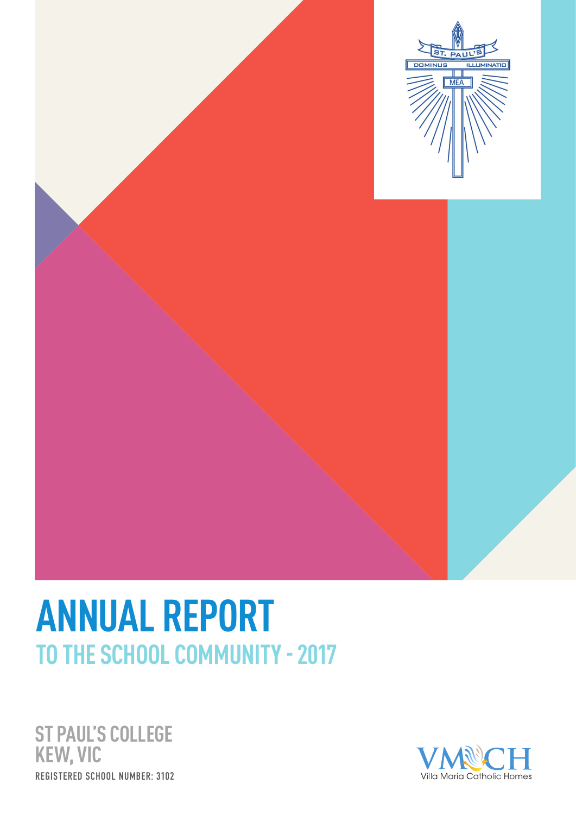

# **ANNUAL REPORT TO THE SCHOOL COMMUNITY - 2017**

**ST PAUL'S COLLEGE KEW, VIC** REGISTERED SCHOOL NUMBER: 3102

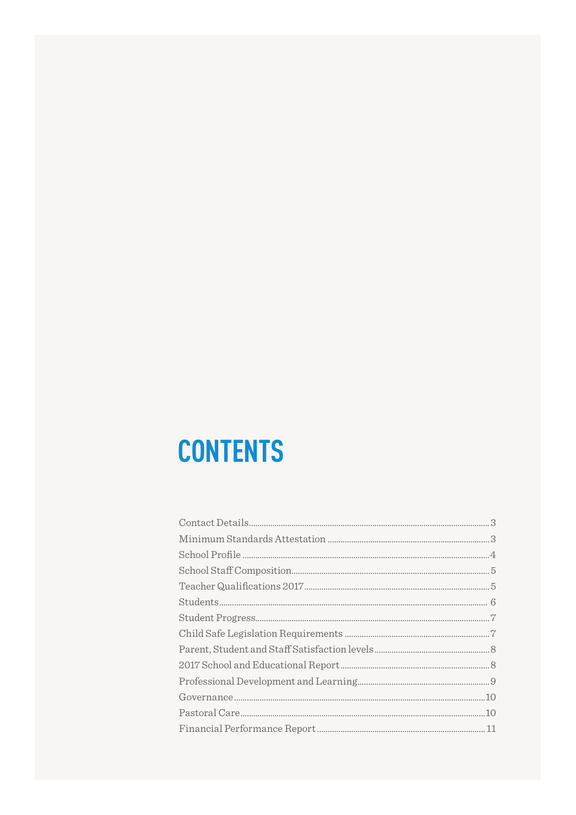# **CONTENTS**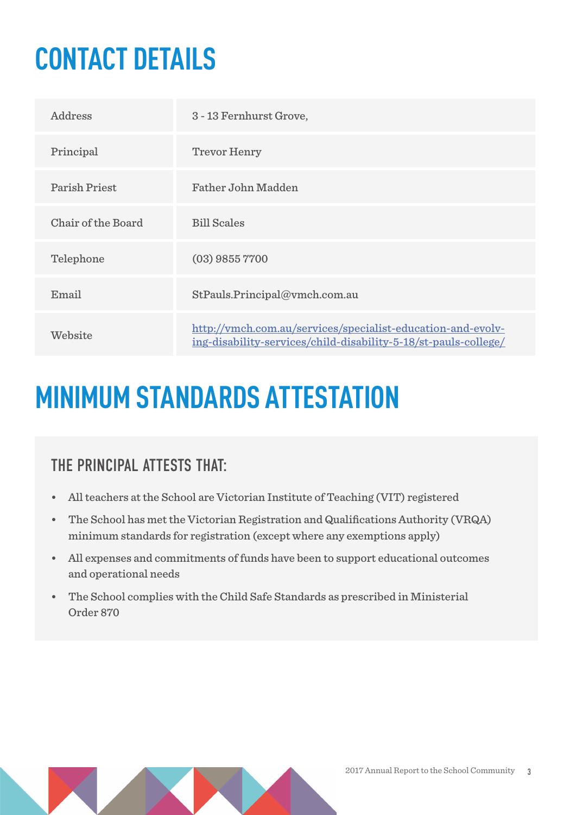# **CONTACT DETAILS**

| Address              | 3 - 13 Fernhurst Grove,                                                                                                        |
|----------------------|--------------------------------------------------------------------------------------------------------------------------------|
| Principal            | <b>Trevor Henry</b>                                                                                                            |
| <b>Parish Priest</b> | <b>Father John Madden</b>                                                                                                      |
| Chair of the Board   | <b>Bill Scales</b>                                                                                                             |
| Telephone            | $(03)$ 9855 7700                                                                                                               |
| Email                | StPauls.Principal@vmch.com.au                                                                                                  |
| Website              | http://vmch.com.au/services/specialist-education-and-evolv-<br>ing-disability-services/child-disability-5-18/st-pauls-college/ |

### **MINIMUM STANDARDS ATTESTATION**

### THE PRINCIPAL ATTESTS THAT

- All teachers at the School are Victorian Institute of Teaching (VIT) registered
- The School has met the Victorian Registration and Qualifications Authority (VRQA) minimum standards for registration (except where any exemptions apply)
- All expenses and commitments of funds have been to support educational outcomes and operational needs
- The School complies with the Child Safe Standards as prescribed in Ministerial Order 870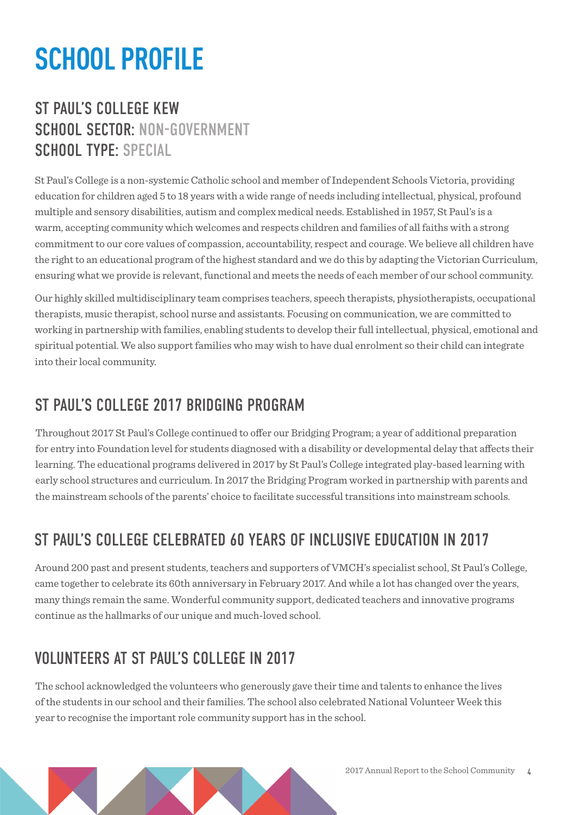## **SCHOOL PROFILE**

### ST PAUL'S COLLEGE KEW SCHOOL SECTOR: NON-GOVERNMENT SCHOOL TYPE: SPECIAL

St Paul's College is a non-systemic Catholic school and member of Independent Schools Victoria, providing education for children aged 5 to 18 years with a wide range of needs including intellectual, physical, profound multiple and sensory disabilities, autism and complex medical needs. Established in 1957, St Paul's is a warm, accepting community which welcomes and respects children and families of all faiths with a strong commitment to our core values of compassion, accountability, respect and courage. We believe all children have the right to an educational program of the highest standard and we do this by adapting the Victorian Curriculum, ensuring what we provide is relevant, functional and meets the needs of each member of our school community.

Our highly skilled multidisciplinary team comprises teachers, speech therapists, physiotherapists, occupational therapists, music therapist, school nurse and assistants. Focusing on communication, we are committed to working in partnership with families, enabling students to develop their full intellectual, physical, emotional and spiritual potential. We also support families who may wish to have dual enrolment so their child can integrate into their local community.

### ST PAUL'S COLLEGE 2017 BRIDGING PROGRAM

Throughout 2017 St Paul's College continued to offer our Bridging Program; a year of additional preparation for entry into Foundation level for students diagnosed with a disability or developmental delay that affects their learning. The educational programs delivered in 2017 by St Paul's College integrated play-based learning with early school structures and curriculum. In 2017 the Bridging Program worked in partnership with parents and the mainstream schools of the parents' choice to facilitate successful transitions into mainstream schools.

### ST PAILL'S COLLEGE CELEBRATED 60 YEARS OF INCLUSIVE EDUCATION IN 2017

Around 200 past and present students, teachers and supporters of VMCH's specialist school, St Paul's College, came together to celebrate its 60th anniversary in February 2017. And while a lot has changed over the years, many things remain the same. Wonderful community support, dedicated teachers and innovative programs continue as the hallmarks of our unique and much-loved school.

### VOLUNTEERS AT ST PAILL'S COLLEGE IN 2017

The school acknowledged the volunteers who generously gave their time and talents to enhance the lives of the students in our school and their families. The school also celebrated National Volunteer Week this year to recognise the important role community support has in the school.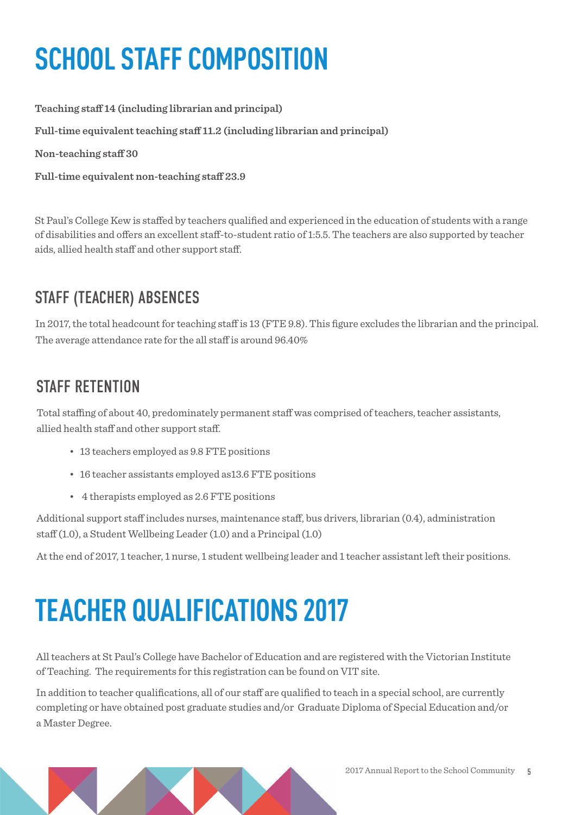# **SCHOOL STAFF COMPOSITION**

**Teaching staff 14 (including librarian and principal) Full-time equivalent teaching staff 11.2 (including librarian and principal) Non-teaching staff 30 Full-time equivalent non-teaching staff 23.9**

St Paul's College Kew is staffed by teachers qualified and experienced in the education of students with a range of disabilities and offers an excellent staff-to-student ratio of 1:5.5. The teachers are also supported by teacher aids, allied health staff and other support staff.

### STAFF (TEACHER) ABSENCES

In 2017, the total headcount for teaching staff is 13 (FTE 9.8). This figure excludes the librarian and the principal. The average attendance rate for the all staff is around 96.40%

### STAFF RETENTION

Total staffing of about 40, predominately permanent staff was comprised of teachers, teacher assistants, allied health staff and other support staff.

- 13 teachers employed as 9.8 FTE positions
- 16 teacher assistants employed as13.6 FTE positions
- 4 therapists employed as 2.6 FTE positions

Additional support staff includes nurses, maintenance staff, bus drivers, librarian (0.4), administration staff (1.0), a Student Wellbeing Leader (1.0) and a Principal (1.0)

At the end of 2017, 1 teacher, 1 nurse, 1 student wellbeing leader and 1 teacher assistant left their positions.

# **TEACHER QUALIFICATIONS 2017**

All teachers at St Paul's College have Bachelor of Education and are registered with the Victorian Institute of Teaching. The requirements for this registration can be found on VIT site.

In addition to teacher qualifications, all of our staff are qualified to teach in a special school, are currently completing or have obtained post graduate studies and/or Graduate Diploma of Special Education and/or a Master Degree.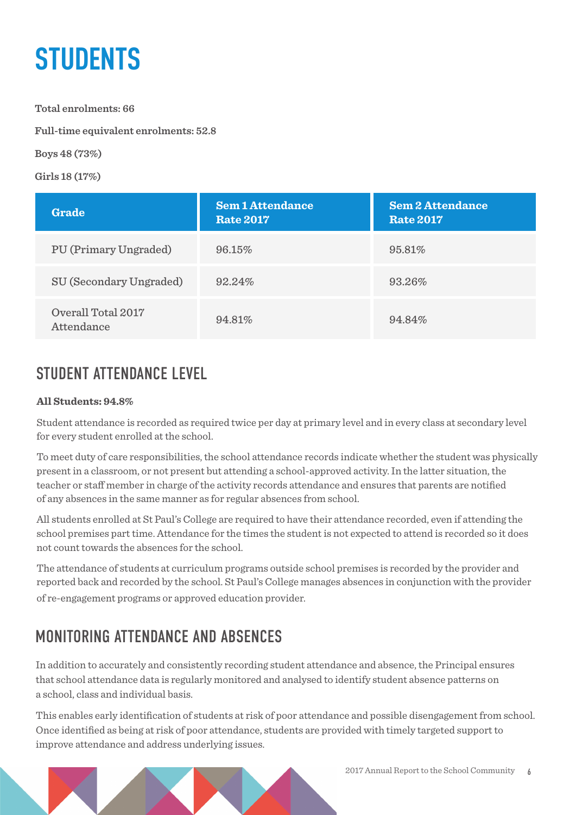## **STUDENTS**

**Total enrolments: 66**

**Full-time equivalent enrolments: 52.8**

**Boys 48 (73%)**

**Girls 18 (17%)** 

| Grade                            | <b>Sem 1 Attendance</b><br><b>Rate 2017</b> | <b>Sem 2 Attendance</b><br><b>Rate 2017</b> |
|----------------------------------|---------------------------------------------|---------------------------------------------|
| PU (Primary Ungraded)            | 96.15%                                      | 95.81%                                      |
| SU (Secondary Ungraded)          | 92.24%                                      | 93.26%                                      |
| Overall Total 2017<br>Attendance | 94.81%                                      | 94.84%                                      |

### STUDENT ATTENDANCE LEVEL

#### **All Students: 94.8%**

Student attendance is recorded as required twice per day at primary level and in every class at secondary level for every student enrolled at the school.

To meet duty of care responsibilities, the school attendance records indicate whether the student was physically present in a classroom, or not present but attending a school-approved activity. In the latter situation, the teacher or staff member in charge of the activity records attendance and ensures that parents are notified of any absences in the same manner as for regular absences from school.

All students enrolled at St Paul's College are required to have their attendance recorded, even if attending the school premises part time. Attendance for the times the student is not expected to attend is recorded so it does not count towards the absences for the school.

The attendance of students at curriculum programs outside school premises is recorded by the provider and reported back and recorded by the school. St Paul's College manages absences in conjunction with the provider of re-engagement programs or approved education provider.

### MONITORING ATTENDANCE AND ABSENCES

In addition to accurately and consistently recording student attendance and absence, the Principal ensures that school attendance data is regularly monitored and analysed to identify student absence patterns on a school, class and individual basis.

This enables early identification of students at risk of poor attendance and possible disengagement from school. Once identified as being at risk of poor attendance, students are provided with timely targeted support to improve attendance and address underlying issues.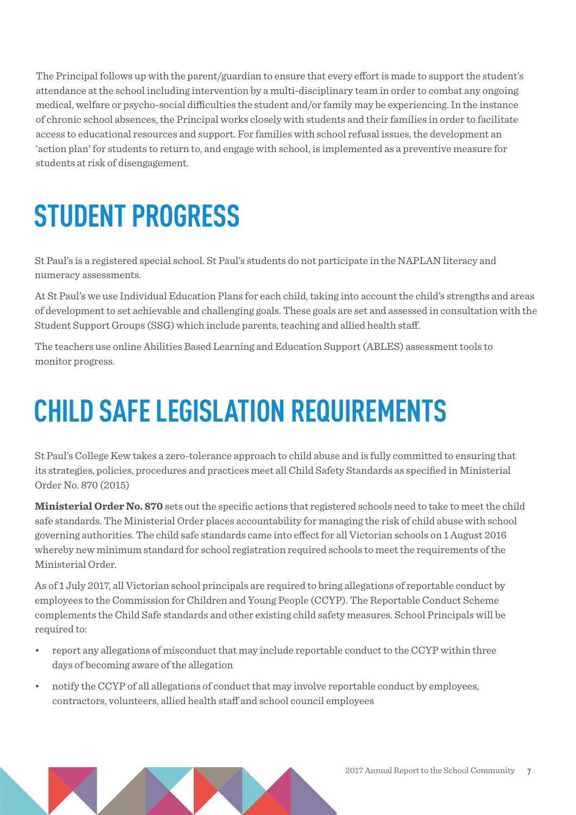The Principal follows up with the parent/guardian to ensure that every effort is made to support the student's attendance at the school including intervention by a multi-disciplinary team in order to combat any ongoing medical, welfare or psycho-social difficulties the student and/or family may be experiencing. In the instance of chronic school absences, the Principal works closely with students and their families in order to facilitate access to educational resources and support. For families with school refusal issues, the development an 'action plan' for students to return to, and engage with school, is implemented as a preventive measure for students at risk of disengagement.

# **STUDENT PROGRESS**

St Paul's is a registered special school. St Paul's students do not participate in the NAPLAN literacy and numeracy assessments.

At St Paul's we use Individual Education Plans for each child, taking into account the child's strengths and areas of development to set achievable and challenging goals. These goals are set and assessed in consultation with the Student Support Groups (SSG) which include parents, teaching and allied health staff.

The teachers use online Abilities Based Learning and Education Support (ABLES) assessment tools to monitor progress.

# **CHILD SAFE LEGISLATION REQUIREMENTS**

St Paul's College Kew takes a zero-tolerance approach to child abuse and is fully committed to ensuring that its strategies, policies, procedures and practices meet all Child Safety Standards as specified in Ministerial Order No. 870 (2015)

**Ministerial Order No. 870** sets out the specific actions that registered schools need to take to meet the child safe standards. The Ministerial Order places accountability for managing the risk of child abuse with school governing authorities. The child safe standards came into effect for all Victorian schools on 1 August 2016 whereby new minimum standard for school registration required schools to meet the requirements of the Ministerial Order.

As of 1 July 2017, all Victorian school principals are required to bring allegations of reportable conduct by employees to the Commission for Children and Young People (CCYP). The Reportable Conduct Scheme complements the Child Safe standards and other existing child safety measures. School Principals will be required to:

- report any allegations of misconduct that may include reportable conduct to the CCYP within three days of becoming aware of the allegation
- notify the CCYP of all allegations of conduct that may involve reportable conduct by employees, contractors, volunteers, allied health staff and school council employees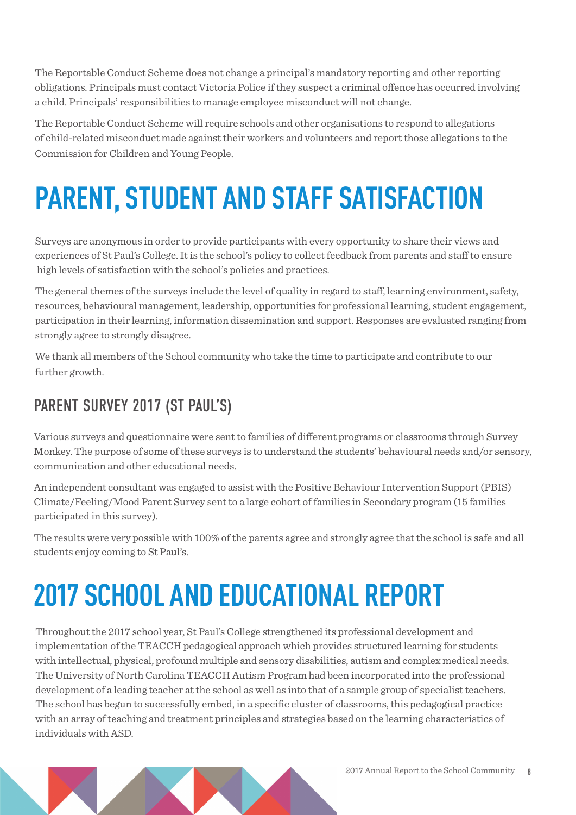The Reportable Conduct Scheme does not change a principal's mandatory reporting and other reporting obligations. Principals must contact Victoria Police if they suspect a criminal offence has occurred involving a child. Principals' responsibilities to manage employee misconduct will not change.

The Reportable Conduct Scheme will require schools and other organisations to respond to allegations of child-related misconduct made against their workers and volunteers and report those allegations to the Commission for Children and Young People.

# **PARENT, STUDENT AND STAFF SATISFACTION**

Surveys are anonymous in order to provide participants with every opportunity to share their views and experiences of St Paul's College. It is the school's policy to collect feedback from parents and staff to ensure high levels of satisfaction with the school's policies and practices.

The general themes of the surveys include the level of quality in regard to staff, learning environment, safety, resources, behavioural management, leadership, opportunities for professional learning, student engagement, participation in their learning, information dissemination and support. Responses are evaluated ranging from strongly agree to strongly disagree.

We thank all members of the School community who take the time to participate and contribute to our further growth.

### PARENT SURVEY 2017 (ST PAUL'S)

Various surveys and questionnaire were sent to families of different programs or classrooms through Survey Monkey. The purpose of some of these surveys is to understand the students' behavioural needs and/or sensory, communication and other educational needs.

An independent consultant was engaged to assist with the Positive Behaviour Intervention Support (PBIS) Climate/Feeling/Mood Parent Survey sent to a large cohort of families in Secondary program (15 families participated in this survey).

The results were very possible with 100% of the parents agree and strongly agree that the school is safe and all students enjoy coming to St Paul's.

# **2017 SCHOOL AND EDUCATIONAL REPORT**

Throughout the 2017 school year, St Paul's College strengthened its professional development and implementation of the TEACCH pedagogical approach which provides structured learning for students with intellectual, physical, profound multiple and sensory disabilities, autism and complex medical needs. The University of North Carolina TEACCH Autism Program had been incorporated into the professional development of a leading teacher at the school as well as into that of a sample group of specialist teachers. The school has begun to successfully embed, in a specific cluster of classrooms, this pedagogical practice with an array of teaching and treatment principles and strategies based on the learning characteristics of individuals with ASD.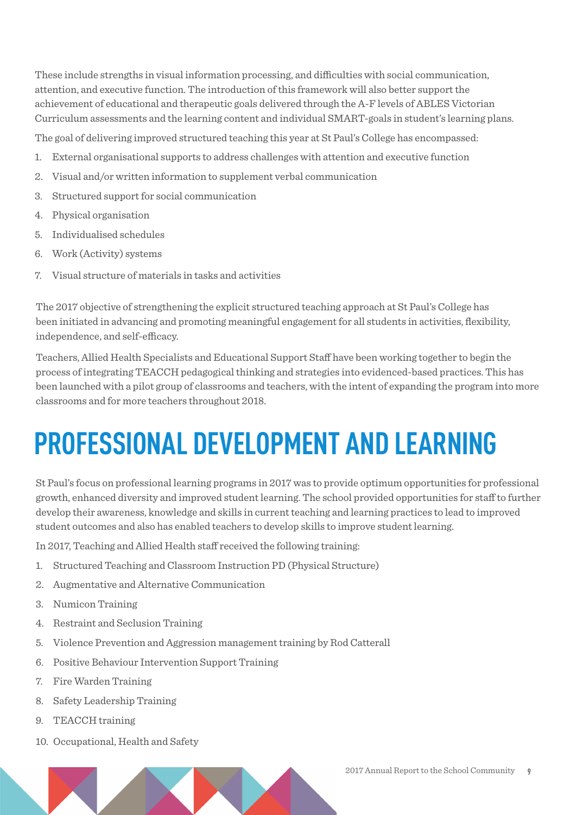These include strengths in visual information processing, and difficulties with social communication, attention, and executive function. The introduction of this framework will also better support the achievement of educational and therapeutic goals delivered through the A-F levels of ABLES Victorian Curriculum assessments and the learning content and individual SMART-goals in student's learning plans.

The goal of delivering improved structured teaching this year at St Paul's College has encompassed:

- 1. External organisational supports to address challenges with attention and executive function
- 2. Visual and/or written information to supplement verbal communication
- 3. Structured support for social communication
- 4. Physical organisation
- 5. Individualised schedules
- 6. Work (Activity) systems
- 7. Visual structure of materials in tasks and activities

The 2017 objective of strengthening the explicit structured teaching approach at St Paul's College has been initiated in advancing and promoting meaningful engagement for all students in activities, flexibility, independence, and self-efficacy.

Teachers, Allied Health Specialists and Educational Support Staff have been working together to begin the process of integrating TEACCH pedagogical thinking and strategies into evidenced-based practices. This has been launched with a pilot group of classrooms and teachers, with the intent of expanding the program into more classrooms and for more teachers throughout 2018.

## **PROFESSIONAL DEVELOPMENT AND LEARNING**

St Paul's focus on professional learning programs in 2017 was to provide optimum opportunities for professional growth, enhanced diversity and improved student learning. The school provided opportunities for staff to further develop their awareness, knowledge and skills in current teaching and learning practices to lead to improved student outcomes and also has enabled teachers to develop skills to improve student learning.

In 2017, Teaching and Allied Health staff received the following training:

- 1. Structured Teaching and Classroom Instruction PD (Physical Structure)
- 2. Augmentative and Alternative Communication
- 3. Numicon Training
- 4. Restraint and Seclusion Training
- 5. Violence Prevention and Aggression management training by Rod Catterall
- 6. Positive Behaviour Intervention Support Training
- 7. Fire Warden Training
- 8. Safety Leadership Training
- 9. TEACCH training
- 10. Occupational, Health and Safety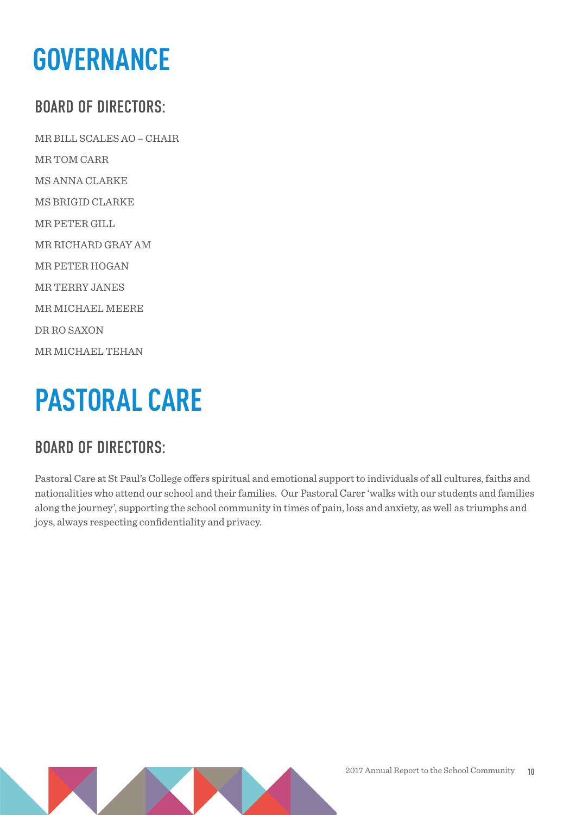## **GOVERNANCE**

### BOARD OF DIRECTORS:

MR BILL SCALES AO – CHAIR MR TOM CARR MS ANNA CLARKE MS BRIGID CLARKE MR PETER GILL MR RICHARD GRAY AM MR PETER HOGAN MR TERRY JANES MR MICHAEL MEERE DR RO SAXON MR MICHAEL TEHAN

## **PASTORAL CARE**

### BOARD OF DIRECTORS:

Pastoral Care at St Paul's College offers spiritual and emotional support to individuals of all cultures, faiths and nationalities who attend our school and their families. Our Pastoral Carer 'walks with our students and families along the journey', supporting the school community in times of pain, loss and anxiety, as well as triumphs and joys, always respecting confidentiality and privacy.